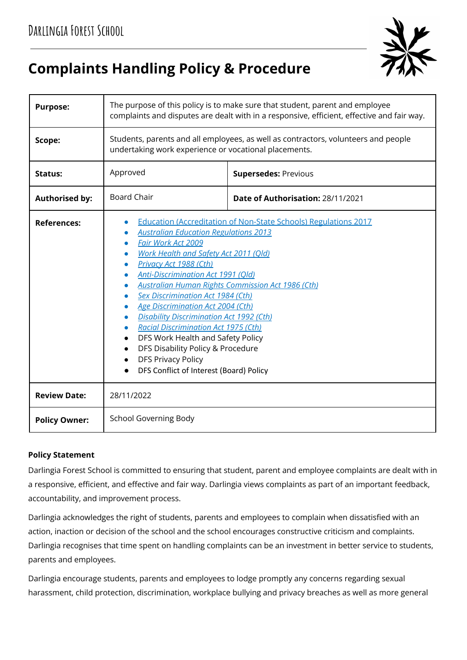

# **Complaints Handling Policy & Procedure**

| <b>Purpose:</b>       | The purpose of this policy is to make sure that student, parent and employee<br>complaints and disputes are dealt with in a responsive, efficient, effective and fair way.                                                                                                                                                                                                                                                                                                                                                                                                                                                                                   |                                   |  |
|-----------------------|--------------------------------------------------------------------------------------------------------------------------------------------------------------------------------------------------------------------------------------------------------------------------------------------------------------------------------------------------------------------------------------------------------------------------------------------------------------------------------------------------------------------------------------------------------------------------------------------------------------------------------------------------------------|-----------------------------------|--|
| Scope:                | Students, parents and all employees, as well as contractors, volunteers and people<br>undertaking work experience or vocational placements.                                                                                                                                                                                                                                                                                                                                                                                                                                                                                                                  |                                   |  |
| <b>Status:</b>        | Approved                                                                                                                                                                                                                                                                                                                                                                                                                                                                                                                                                                                                                                                     | <b>Supersedes: Previous</b>       |  |
| <b>Authorised by:</b> | <b>Board Chair</b>                                                                                                                                                                                                                                                                                                                                                                                                                                                                                                                                                                                                                                           | Date of Authorisation: 28/11/2021 |  |
| <b>References:</b>    | <b>Education (Accreditation of Non-State Schools) Regulations 2017</b><br><b>Australian Education Regulations 2013</b><br>Fair Work Act 2009<br>Work Health and Safety Act 2011 (Qld)<br>Privacy Act 1988 (Cth)<br>Anti-Discrimination Act 1991 (Qld)<br><b>Australian Human Rights Commission Act 1986 (Cth)</b><br>Sex Discrimination Act 1984 (Cth)<br>Age Discrimination Act 2004 (Cth)<br><b>Disability Discrimination Act 1992 (Cth)</b><br><b>Racial Discrimination Act 1975 (Cth)</b><br>DFS Work Health and Safety Policy<br>DFS Disability Policy & Procedure<br>$\bullet$<br><b>DFS Privacy Policy</b><br>DFS Conflict of Interest (Board) Policy |                                   |  |
| <b>Review Date:</b>   | 28/11/2022                                                                                                                                                                                                                                                                                                                                                                                                                                                                                                                                                                                                                                                   |                                   |  |
| <b>Policy Owner:</b>  | <b>School Governing Body</b>                                                                                                                                                                                                                                                                                                                                                                                                                                                                                                                                                                                                                                 |                                   |  |

## **Policy Statement**

Darlingia Forest School is committed to ensuring that student, parent and employee complaints are dealt with in a responsive, efficient, and effective and fair way. Darlingia views complaints as part of an important feedback, accountability, and improvement process.

Darlingia acknowledges the right of students, parents and employees to complain when dissatisfied with an action, inaction or decision of the school and the school encourages constructive criticism and complaints. Darlingia recognises that time spent on handling complaints can be an investment in better service to students, parents and employees.

Darlingia encourage students, parents and employees to lodge promptly any concerns regarding sexual harassment, child protection, discrimination, workplace bullying and privacy breaches as well as more general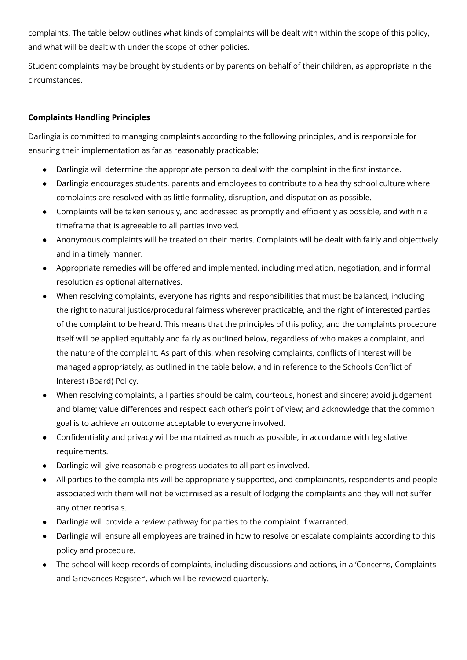complaints. The table below outlines what kinds of complaints will be dealt with within the scope of this policy, and what will be dealt with under the scope of other policies.

Student complaints may be brought by students or by parents on behalf of their children, as appropriate in the circumstances.

## **Complaints Handling Principles**

Darlingia is committed to managing complaints according to the following principles, and is responsible for ensuring their implementation as far as reasonably practicable:

- Darlingia will determine the appropriate person to deal with the complaint in the first instance.
- Darlingia encourages students, parents and employees to contribute to a healthy school culture where complaints are resolved with as little formality, disruption, and disputation as possible.
- Complaints will be taken seriously, and addressed as promptly and efficiently as possible, and within a timeframe that is agreeable to all parties involved.
- Anonymous complaints will be treated on their merits. Complaints will be dealt with fairly and objectively and in a timely manner.
- Appropriate remedies will be offered and implemented, including mediation, negotiation, and informal resolution as optional alternatives.
- When resolving complaints, everyone has rights and responsibilities that must be balanced, including the right to natural justice/procedural fairness wherever practicable, and the right of interested parties of the complaint to be heard. This means that the principles of this policy, and the complaints procedure itself will be applied equitably and fairly as outlined below, regardless of who makes a complaint, and the nature of the complaint. As part of this, when resolving complaints, conflicts of interest will be managed appropriately, as outlined in the table below, and in reference to the School's Conflict of Interest (Board) Policy.
- When resolving complaints, all parties should be calm, courteous, honest and sincere; avoid judgement and blame; value differences and respect each other's point of view; and acknowledge that the common goal is to achieve an outcome acceptable to everyone involved.
- Confidentiality and privacy will be maintained as much as possible, in accordance with legislative requirements.
- Darlingia will give reasonable progress updates to all parties involved.
- All parties to the complaints will be appropriately supported, and complainants, respondents and people associated with them will not be victimised as a result of lodging the complaints and they will not suffer any other reprisals.
- Darlingia will provide a review pathway for parties to the complaint if warranted.
- Darlingia will ensure all employees are trained in how to resolve or escalate complaints according to this policy and procedure.
- The school will keep records of complaints, including discussions and actions, in a 'Concerns, Complaints and Grievances Register', which will be reviewed quarterly.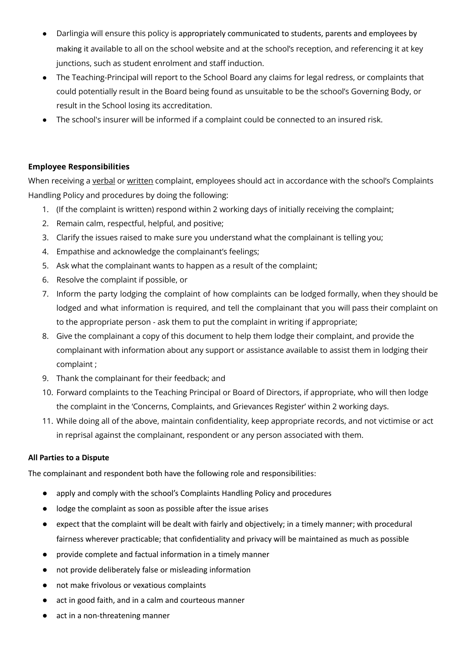- Darlingia will ensure this policy is appropriately communicated to students, parents and employees by making it available to all on the school website and at the school's reception, and referencing it at key junctions, such as student enrolment and staff induction.
- The Teaching-Principal will report to the School Board any claims for legal redress, or complaints that could potentially result in the Board being found as unsuitable to be the school's Governing Body, or result in the School losing its accreditation.
- The school's insurer will be informed if a complaint could be connected to an insured risk.

#### **Employee Responsibilities**

When receiving a verbal or written complaint, employees should act in accordance with the school's Complaints Handling Policy and procedures by doing the following:

- 1. (If the complaint is written) respond within 2 working days of initially receiving the complaint;
- 2. Remain calm, respectful, helpful, and positive;
- 3. Clarify the issues raised to make sure you understand what the complainant is telling you;
- 4. Empathise and acknowledge the complainant's feelings;
- 5. Ask what the complainant wants to happen as a result of the complaint;
- 6. Resolve the complaint if possible, or
- 7. Inform the party lodging the complaint of how complaints can be lodged formally, when they should be lodged and what information is required, and tell the complainant that you will pass their complaint on to the appropriate person - ask them to put the complaint in writing if appropriate;
- 8. Give the complainant a copy of this document to help them lodge their complaint, and provide the complainant with information about any support or assistance available to assist them in lodging their complaint ;
- 9. Thank the complainant for their feedback; and
- 10. Forward complaints to the Teaching Principal or Board of Directors, if appropriate, who will then lodge the complaint in the 'Concerns, Complaints, and Grievances Register' within 2 working days.
- 11. While doing all of the above, maintain confidentiality, keep appropriate records, and not victimise or act in reprisal against the complainant, respondent or any person associated with them.

#### **All Parties to a Dispute**

The complainant and respondent both have the following role and responsibilities:

- apply and comply with the school's Complaints Handling Policy and procedures
- lodge the complaint as soon as possible after the issue arises
- expect that the complaint will be dealt with fairly and objectively; in a timely manner; with procedural fairness wherever practicable; that confidentiality and privacy will be maintained as much as possible
- provide complete and factual information in a timely manner
- not provide deliberately false or misleading information
- not make frivolous or vexatious complaints
- act in good faith, and in a calm and courteous manner
- act in a non-threatening manner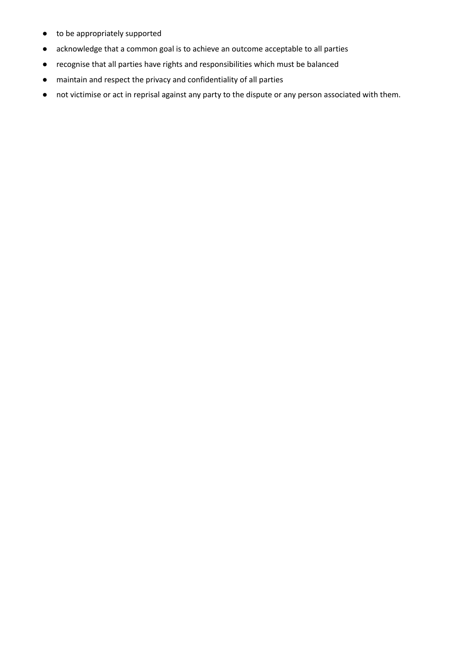- to be appropriately supported
- acknowledge that a common goal is to achieve an outcome acceptable to all parties
- recognise that all parties have rights and responsibilities which must be balanced
- maintain and respect the privacy and confidentiality of all parties
- not victimise or act in reprisal against any party to the dispute or any person associated with them.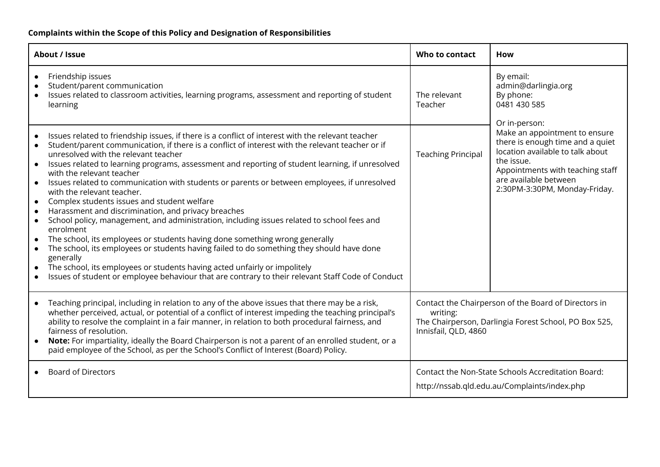# **Complaints within the Scope of this Policy and Designation of Responsibilities**

| About / Issue                                                                                                                                                                                                                                                                                                                                                                                                                                                                                                                                                                                                                                                                                                                                                                                                                                                                                                                                                                                                                                                                                                                                                                          | Who to contact                                                                                                                                    | <b>How</b>                                                                                                                                                                                                                         |  |
|----------------------------------------------------------------------------------------------------------------------------------------------------------------------------------------------------------------------------------------------------------------------------------------------------------------------------------------------------------------------------------------------------------------------------------------------------------------------------------------------------------------------------------------------------------------------------------------------------------------------------------------------------------------------------------------------------------------------------------------------------------------------------------------------------------------------------------------------------------------------------------------------------------------------------------------------------------------------------------------------------------------------------------------------------------------------------------------------------------------------------------------------------------------------------------------|---------------------------------------------------------------------------------------------------------------------------------------------------|------------------------------------------------------------------------------------------------------------------------------------------------------------------------------------------------------------------------------------|--|
| Friendship issues<br>Student/parent communication<br>Issues related to classroom activities, learning programs, assessment and reporting of student<br>learning                                                                                                                                                                                                                                                                                                                                                                                                                                                                                                                                                                                                                                                                                                                                                                                                                                                                                                                                                                                                                        | The relevant<br>Teacher                                                                                                                           | By email:<br>admin@darlingia.org<br>By phone:<br>0481 430 585                                                                                                                                                                      |  |
| Issues related to friendship issues, if there is a conflict of interest with the relevant teacher<br>Student/parent communication, if there is a conflict of interest with the relevant teacher or if<br>unresolved with the relevant teacher<br>Issues related to learning programs, assessment and reporting of student learning, if unresolved<br>$\bullet$<br>with the relevant teacher<br>Issues related to communication with students or parents or between employees, if unresolved<br>$\bullet$<br>with the relevant teacher.<br>Complex students issues and student welfare<br>$\bullet$<br>Harassment and discrimination, and privacy breaches<br>$\bullet$<br>School policy, management, and administration, including issues related to school fees and<br>$\bullet$<br>enrolment<br>The school, its employees or students having done something wrong generally<br>The school, its employees or students having failed to do something they should have done<br>generally<br>The school, its employees or students having acted unfairly or impolitely<br>$\bullet$<br>Issues of student or employee behaviour that are contrary to their relevant Staff Code of Conduct | <b>Teaching Principal</b>                                                                                                                         | Or in-person:<br>Make an appointment to ensure<br>there is enough time and a quiet<br>location available to talk about<br>the issue.<br>Appointments with teaching staff<br>are available between<br>2:30PM-3:30PM, Monday-Friday. |  |
| Teaching principal, including in relation to any of the above issues that there may be a risk,<br>$\bullet$<br>whether perceived, actual, or potential of a conflict of interest impeding the teaching principal's<br>ability to resolve the complaint in a fair manner, in relation to both procedural fairness, and<br>fairness of resolution.<br>Note: For impartiality, ideally the Board Chairperson is not a parent of an enrolled student, or a<br>paid employee of the School, as per the School's Conflict of Interest (Board) Policy.                                                                                                                                                                                                                                                                                                                                                                                                                                                                                                                                                                                                                                        | Contact the Chairperson of the Board of Directors in<br>writing:<br>The Chairperson, Darlingia Forest School, PO Box 525,<br>Innisfail, QLD, 4860 |                                                                                                                                                                                                                                    |  |
| <b>Board of Directors</b>                                                                                                                                                                                                                                                                                                                                                                                                                                                                                                                                                                                                                                                                                                                                                                                                                                                                                                                                                                                                                                                                                                                                                              | Contact the Non-State Schools Accreditation Board:<br>http://nssab.qld.edu.au/Complaints/index.php                                                |                                                                                                                                                                                                                                    |  |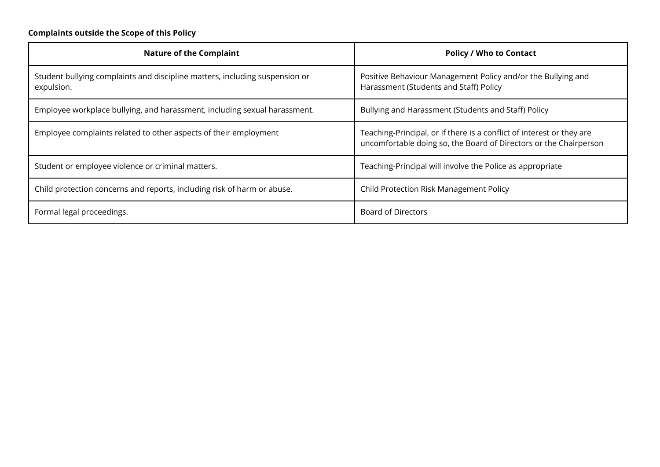# **Complaints outside the Scope of this Policy**

| <b>Nature of the Complaint</b>                                                            | <b>Policy / Who to Contact</b>                                                                                                             |  |
|-------------------------------------------------------------------------------------------|--------------------------------------------------------------------------------------------------------------------------------------------|--|
| Student bullying complaints and discipline matters, including suspension or<br>expulsion. | Positive Behaviour Management Policy and/or the Bullying and<br>Harassment (Students and Staff) Policy                                     |  |
| Employee workplace bullying, and harassment, including sexual harassment.                 | Bullying and Harassment (Students and Staff) Policy                                                                                        |  |
| Employee complaints related to other aspects of their employment                          | Teaching-Principal, or if there is a conflict of interest or they are<br>uncomfortable doing so, the Board of Directors or the Chairperson |  |
| Student or employee violence or criminal matters.                                         | Teaching-Principal will involve the Police as appropriate                                                                                  |  |
| Child protection concerns and reports, including risk of harm or abuse.                   | Child Protection Risk Management Policy                                                                                                    |  |
| Formal legal proceedings.                                                                 | <b>Board of Directors</b>                                                                                                                  |  |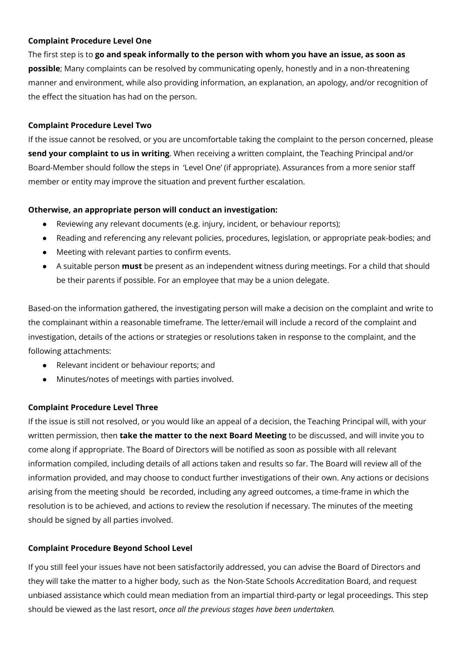#### **Complaint Procedure Level One**

The first step is to **go and speak informally to the person with whom you have an issue, as soon as possible**; Many complaints can be resolved by communicating openly, honestly and in a non-threatening manner and environment, while also providing information, an explanation, an apology, and/or recognition of the effect the situation has had on the person.

#### **Complaint Procedure Level Two**

If the issue cannot be resolved, or you are uncomfortable taking the complaint to the person concerned, please **send your complaint to us in writing**. When receiving a written complaint, the Teaching Principal and/or Board-Member should follow the steps in 'Level One' (if appropriate). Assurances from a more senior staff member or entity may improve the situation and prevent further escalation.

#### **Otherwise, an appropriate person will conduct an investigation:**

- Reviewing any relevant documents (e.g. injury, incident, or behaviour reports);
- Reading and referencing any relevant policies, procedures, legislation, or appropriate peak-bodies; and
- Meeting with relevant parties to confirm events.
- A suitable person **must** be present as an independent witness during meetings. For a child that should be their parents if possible. For an employee that may be a union delegate.

Based-on the information gathered, the investigating person will make a decision on the complaint and write to the complainant within a reasonable timeframe. The letter/email will include a record of the complaint and investigation, details of the actions or strategies or resolutions taken in response to the complaint, and the following attachments:

- Relevant incident or behaviour reports; and
- Minutes/notes of meetings with parties involved.

#### **Complaint Procedure Level Three**

If the issue is still not resolved, or you would like an appeal of a decision, the Teaching Principal will, with your written permission, then **take the matter to the next Board Meeting** to be discussed, and will invite you to come along if appropriate. The Board of Directors will be notified as soon as possible with all relevant information compiled, including details of all actions taken and results so far. The Board will review all of the information provided, and may choose to conduct further investigations of their own. Any actions or decisions arising from the meeting should be recorded, including any agreed outcomes, a time-frame in which the resolution is to be achieved, and actions to review the resolution if necessary. The minutes of the meeting should be signed by all parties involved.

#### **Complaint Procedure Beyond School Level**

If you still feel your issues have not been satisfactorily addressed, you can advise the Board of Directors and they will take the matter to a higher body, such as the Non-State Schools Accreditation Board, and request unbiased assistance which could mean mediation from an impartial third-party or legal proceedings. This step should be viewed as the last resort, *once all the previous stages have been undertaken.*